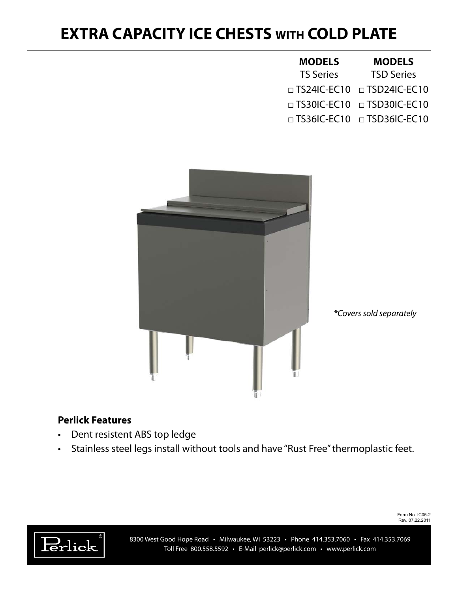## **EXTRA CAPACITY ICE CHESTS WITH COLD PLATE**

| <b>MODELS</b>    | <b>MODELS</b>                          |  |
|------------------|----------------------------------------|--|
| <b>TS Series</b> | <b>TSD Series</b>                      |  |
|                  | $\Box$ TS24IC-EC10 $\Box$ TSD24IC-EC10 |  |
|                  | $\Box$ TS30IC-EC10 $\Box$ TSD30IC-EC10 |  |
|                  | $\Box$ TS36IC-EC10 $\Box$ TSD36IC-EC10 |  |



## **Perlick Features**

- • Dent resistent ABS top ledge
- Stainless steel legs install without tools and have "Rust Free" thermoplastic feet.

Form No. IC05-2 Rev. 07.22.2011



8300 West Good Hope Road • Milwaukee, WI 53223 • Phone 414.353.7060 • Fax 414.353.7069 Toll Free 800.558.5592 • E-Mail perlick@perlick.com • www.perlick.com